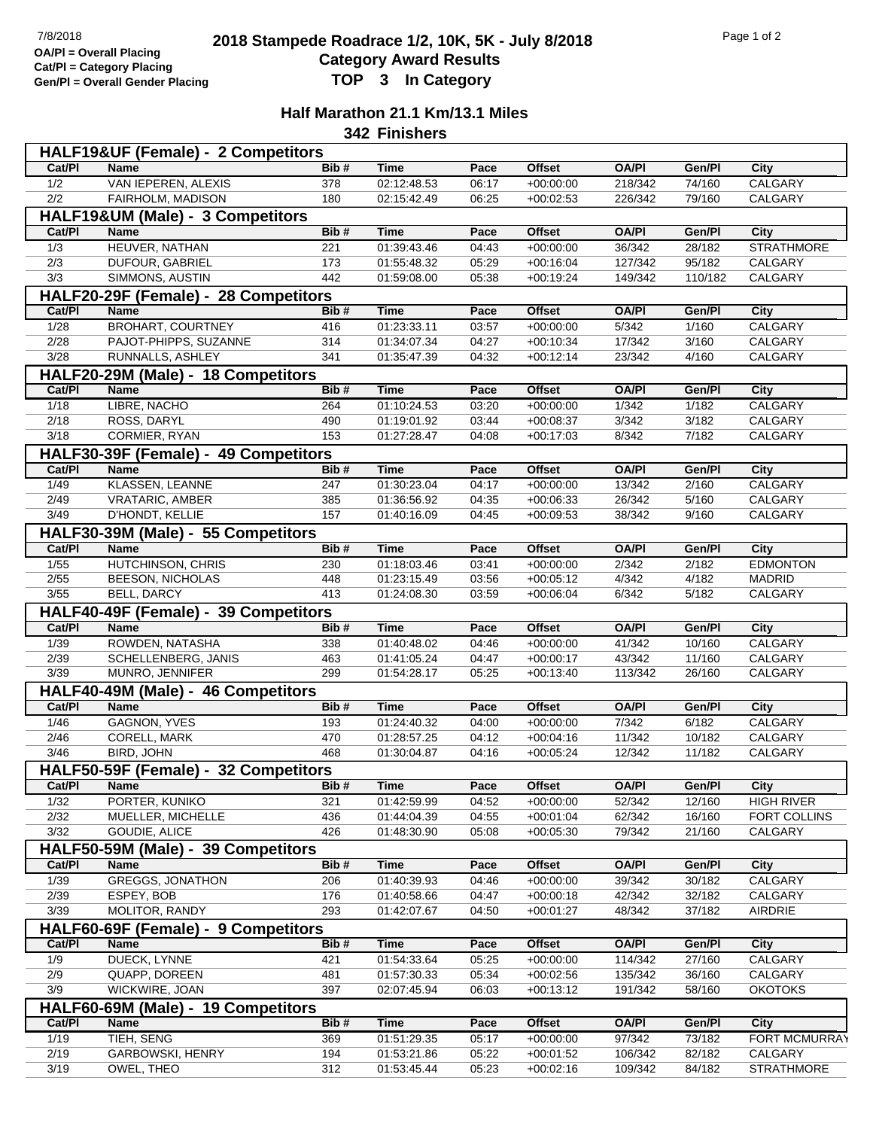## **2018 Stampede Roadrace 1/2, 10K, 5K - July 8/2018** 7/8/2018 Page 1 of 2 **Category Award Results Gen/Pl = Overall Gender Placing TOP 3 In Category**

## **Half Marathon 21.1 Km/13.1 Miles**

**342 Finishers**

| HALF19&UF (Female) - 2 Competitors   |                                      |      |             |                    |               |              |         |                      |  |  |  |
|--------------------------------------|--------------------------------------|------|-------------|--------------------|---------------|--------------|---------|----------------------|--|--|--|
| Cat/PI                               | <b>Name</b>                          | Bib# | <b>Time</b> | Pace               | <b>Offset</b> | <b>OA/PI</b> | Gen/Pl  | City                 |  |  |  |
| 1/2                                  | VAN IEPEREN, ALEXIS                  | 378  | 02:12:48.53 | 06:17              | $+00:00:00$   | 218/342      | 74/160  | CALGARY              |  |  |  |
| 2/2                                  | FAIRHOLM, MADISON                    | 180  | 02:15:42.49 | 06:25              | $+00:02:53$   | 226/342      | 79/160  | <b>CALGARY</b>       |  |  |  |
|                                      | HALF19&UM (Male) - 3 Competitors     |      |             |                    |               |              |         |                      |  |  |  |
| Cat/PI                               | <b>Name</b>                          | Bib# | <b>Time</b> | Pace               | <b>Offset</b> | <b>OA/PI</b> | Gen/Pl  | <b>City</b>          |  |  |  |
| 1/3                                  | HEUVER, NATHAN                       | 221  | 01:39:43.46 | 04:43              | $+00:00:00$   | 36/342       | 28/182  | <b>STRATHMORE</b>    |  |  |  |
| 2/3                                  | DUFOUR, GABRIEL                      | 173  | 01:55:48.32 | 05:29              | $+00:16:04$   | 127/342      | 95/182  | CALGARY              |  |  |  |
| 3/3                                  | SIMMONS, AUSTIN                      | 442  | 01:59:08.00 | 05:38              | $+00:19:24$   | 149/342      | 110/182 | CALGARY              |  |  |  |
| HALF20-29F (Female) - 28 Competitors |                                      |      |             |                    |               |              |         |                      |  |  |  |
| Cat/PI                               | <b>Name</b>                          | Bib# | <b>Time</b> | Pace               | <b>Offset</b> | <b>OA/PI</b> | Gen/Pl  | <b>City</b>          |  |  |  |
| 1/28                                 | <b>BROHART, COURTNEY</b>             | 416  | 01:23:33.11 | 03:57              | $+00:00:00$   | 5/342        | 1/160   | CALGARY              |  |  |  |
| 2/28                                 | PAJOT-PHIPPS, SUZANNE                | 314  | 01:34:07.34 | 04:27              | $+00:10:34$   | 17/342       | 3/160   | CALGARY              |  |  |  |
| 3/28                                 | RUNNALLS, ASHLEY                     | 341  | 01:35:47.39 | 04:32              | $+00:12:14$   | 23/342       | 4/160   | CALGARY              |  |  |  |
|                                      | HALF20-29M (Male) - 18 Competitors   |      |             |                    |               |              |         |                      |  |  |  |
| Cat/PI                               | <b>Name</b>                          | Bib# | <b>Time</b> | Pace               | <b>Offset</b> | <b>OA/PI</b> | Gen/Pl  | <b>City</b>          |  |  |  |
| 1/18                                 | LIBRE, NACHO                         | 264  | 01:10:24.53 | 03:20              | $+00:00:00$   | 1/342        | 1/182   | CALGARY              |  |  |  |
| 2/18                                 | ROSS, DARYL                          | 490  | 01:19:01.92 | 03:44              | $+00:08:37$   | 3/342        | 3/182   | CALGARY              |  |  |  |
| 3/18                                 | CORMIER, RYAN                        | 153  | 01:27:28.47 | 04:08              | $+00:17:03$   | 8/342        | 7/182   | CALGARY              |  |  |  |
|                                      | HALF30-39F (Female) - 49 Competitors |      |             |                    |               |              |         |                      |  |  |  |
| Cat/PI                               | Name                                 | Bib# | <b>Time</b> | Pace               | <b>Offset</b> | <b>OA/PI</b> | Gen/Pl  | City                 |  |  |  |
| 1/49                                 | <b>KLASSEN, LEANNE</b>               | 247  | 01:30:23.04 | 04:17              | $+00:00:00$   | 13/342       | 2/160   | CALGARY              |  |  |  |
| 2/49                                 | <b>VRATARIC, AMBER</b>               | 385  | 01:36:56.92 | 04:35              | $+00:06:33$   | 26/342       | 5/160   | CALGARY              |  |  |  |
| 3/49                                 | D'HONDT, KELLIE                      | 157  | 01:40:16.09 | 04:45              | $+00:09:53$   | 38/342       | 9/160   | CALGARY              |  |  |  |
|                                      | HALF30-39M (Male) - 55 Competitors   |      |             |                    |               |              |         |                      |  |  |  |
| Cat/PI                               | Name                                 | Bib# | <b>Time</b> | Pace               | <b>Offset</b> | <b>OA/PI</b> | Gen/PI  | City                 |  |  |  |
| 1/55                                 | HUTCHINSON, CHRIS                    | 230  | 01:18:03.46 | 03:41              | $+00:00:00$   | 2/342        | 2/182   | <b>EDMONTON</b>      |  |  |  |
| $2/55$                               | BEESON, NICHOLAS                     | 448  | 01:23:15.49 | 03:56              | $+00:05:12$   | 4/342        | 4/182   | <b>MADRID</b>        |  |  |  |
| 3/55                                 | BELL, DARCY                          | 413  | 01:24:08.30 | 03:59              | $+00:06:04$   | 6/342        | 5/182   | CALGARY              |  |  |  |
|                                      | HALF40-49F (Female) - 39 Competitors |      |             |                    |               |              |         |                      |  |  |  |
| Cat/PI                               | <b>Name</b>                          | Bib# | <b>Time</b> | Pace               | <b>Offset</b> | <b>OA/PI</b> | Gen/Pl  | <b>City</b>          |  |  |  |
| 1/39                                 | ROWDEN, NATASHA                      | 338  | 01:40:48.02 | $\overline{04:}46$ | $+00:00:00$   | 41/342       | 10/160  | CALGARY              |  |  |  |
| 2/39                                 | SCHELLENBERG, JANIS                  | 463  | 01:41:05.24 | 04:47              | $+00:00:17$   | 43/342       | 11/160  | CALGARY              |  |  |  |
| 3/39                                 | MUNRO, JENNIFER                      | 299  | 01:54:28.17 | 05:25              | $+00:13:40$   | 113/342      | 26/160  | CALGARY              |  |  |  |
|                                      | HALF40-49M (Male) - 46 Competitors   |      |             |                    |               |              |         |                      |  |  |  |
| Cat/PI                               | Name                                 | Bib# | <b>Time</b> | Pace               | <b>Offset</b> | <b>OA/PI</b> | Gen/Pl  | City                 |  |  |  |
| 1/46                                 | <b>GAGNON, YVES</b>                  | 193  | 01:24:40.32 | 04:00              | $+00:00:00$   | 7/342        | 6/182   | CALGARY              |  |  |  |
| 2/46                                 | CORELL, MARK                         | 470  | 01:28:57.25 | 04:12              | $+00:04:16$   | 11/342       | 10/182  | CALGARY              |  |  |  |
| 3/46                                 | BIRD, JOHN                           | 468  | 01:30:04.87 | 04:16              | $+00:05:24$   | 12/342       | 11/182  | CALGARY              |  |  |  |
|                                      | HALF50-59F (Female) - 32 Competitors |      |             |                    |               |              |         |                      |  |  |  |
| Cat/PI                               | <b>Name</b>                          | Bib# | Time        | Pace               | Offset        | OA/PI        | Gen/Pl  | City                 |  |  |  |
| 1/32                                 | PORTER, KUNIKO                       | 321  | 01:42:59.99 | 04:52              | $+00:00:00$   | 52/342       | 12/160  | <b>HIGH RIVER</b>    |  |  |  |
| 2/32                                 | MUELLER, MICHELLE                    | 436  | 01:44:04.39 | 04:55              | $+00:01:04$   | 62/342       | 16/160  | FORT COLLINS         |  |  |  |
| 3/32                                 | GOUDIE, ALICE                        | 426  | 01:48:30.90 | 05:08              | $+00:05:30$   | 79/342       | 21/160  | CALGARY              |  |  |  |
|                                      | HALF50-59M (Male) - 39 Competitors   |      |             |                    |               |              |         |                      |  |  |  |
| Cat/PI                               | Name                                 | Bib# | <b>Time</b> | Pace               | Offset        | <b>OA/PI</b> | Gen/Pl  | City                 |  |  |  |
| 1/39                                 | <b>GREGGS, JONATHON</b>              | 206  | 01:40:39.93 | 04:46              | $+00:00:00$   | 39/342       | 30/182  | CALGARY              |  |  |  |
| 2/39                                 | ESPEY, BOB                           | 176  | 01:40:58.66 | 04:47              | $+00:00:18$   | 42/342       | 32/182  | CALGARY              |  |  |  |
| $\frac{3}{39}$                       | MOLITOR, RANDY                       | 293  | 01:42:07.67 | 04:50              | $+00:01:27$   | 48/342       | 37/182  | AIRDRIE              |  |  |  |
|                                      | HALF60-69F (Female) - 9 Competitors  |      |             |                    |               |              |         |                      |  |  |  |
| Cat/PI                               | <b>Name</b>                          | Bib# | <b>Time</b> | Pace               | <b>Offset</b> | <b>OA/PI</b> | Gen/Pl  | City                 |  |  |  |
| 1/9                                  | DUECK, LYNNE                         | 421  | 01:54:33.64 | 05:25              | $+00:00:00$   | 114/342      | 27/160  | CALGARY              |  |  |  |
| 2/9                                  | QUAPP, DOREEN                        | 481  | 01:57:30.33 | 05:34              | $+00:02:56$   | 135/342      | 36/160  | CALGARY              |  |  |  |
| 3/9                                  | WICKWIRE, JOAN                       | 397  | 02:07:45.94 | 06:03              | $+00:13:12$   | 191/342      | 58/160  | <b>OKOTOKS</b>       |  |  |  |
|                                      | HALF60-69M (Male) - 19 Competitors   |      |             |                    |               |              |         |                      |  |  |  |
| Cat/PI                               | Name                                 | Bib# | <b>Time</b> | Pace               | Offset        | <b>OA/PI</b> | Gen/Pl  | City                 |  |  |  |
| 1/19                                 | TIEH, SENG                           | 369  | 01:51:29.35 | 05:17              | $+00:00:00$   | 97/342       | 73/182  | <b>FORT MCMURRAY</b> |  |  |  |
| 2/19                                 | GARBOWSKI, HENRY                     | 194  | 01:53:21.86 | 05:22              | $+00:01:52$   | 106/342      | 82/182  | CALGARY              |  |  |  |
| 3/19                                 | OWEL, THEO                           | 312  | 01:53:45.44 | 05:23              | $+00:02:16$   | 109/342      | 84/182  | <b>STRATHMORE</b>    |  |  |  |